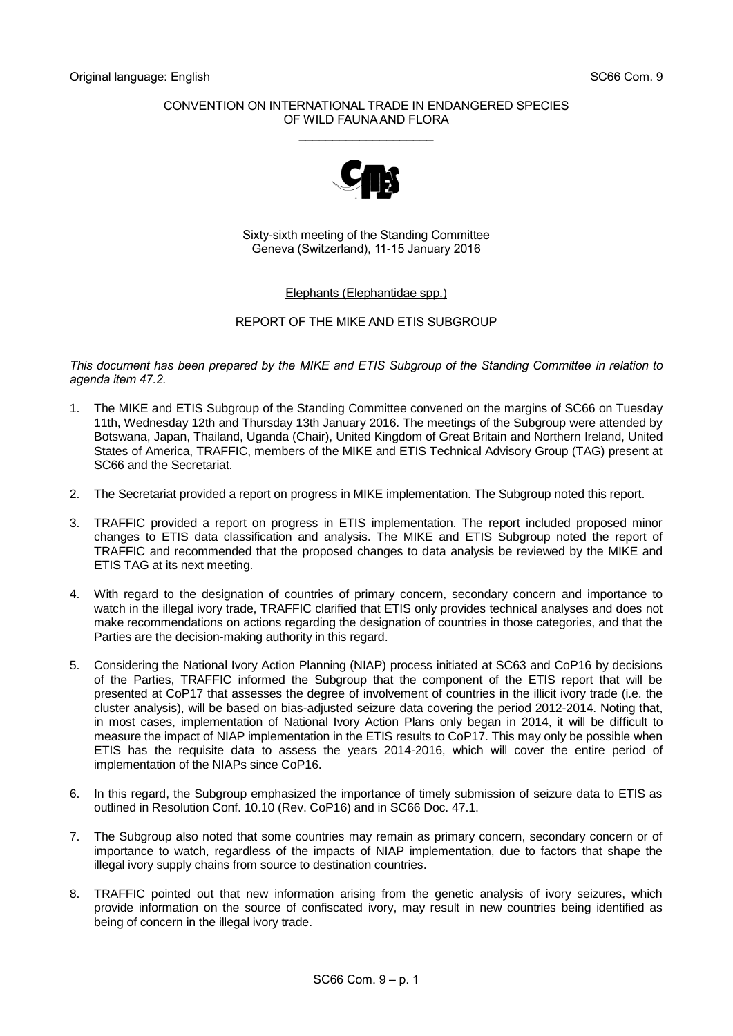## CONVENTION ON INTERNATIONAL TRADE IN ENDANGERED SPECIES OF WILD FAUNA AND FLORA \_\_\_\_\_\_\_\_\_\_\_\_\_\_\_\_\_\_\_\_



Sixty-sixth meeting of the Standing Committee Geneva (Switzerland), 11-15 January 2016

Elephants (Elephantidae spp.)

# REPORT OF THE MIKE AND ETIS SUBGROUP

*This document has been prepared by the MIKE and ETIS Subgroup of the Standing Committee in relation to agenda item 47.2.*

- 1. The MIKE and ETIS Subgroup of the Standing Committee convened on the margins of SC66 on Tuesday 11th, Wednesday 12th and Thursday 13th January 2016. The meetings of the Subgroup were attended by Botswana, Japan, Thailand, Uganda (Chair), United Kingdom of Great Britain and Northern Ireland, United States of America, TRAFFIC, members of the MIKE and ETIS Technical Advisory Group (TAG) present at SC66 and the Secretariat.
- 2. The Secretariat provided a report on progress in MIKE implementation. The Subgroup noted this report.
- 3. TRAFFIC provided a report on progress in ETIS implementation. The report included proposed minor changes to ETIS data classification and analysis. The MIKE and ETIS Subgroup noted the report of TRAFFIC and recommended that the proposed changes to data analysis be reviewed by the MIKE and ETIS TAG at its next meeting.
- 4. With regard to the designation of countries of primary concern, secondary concern and importance to watch in the illegal ivory trade, TRAFFIC clarified that ETIS only provides technical analyses and does not make recommendations on actions regarding the designation of countries in those categories, and that the Parties are the decision-making authority in this regard.
- 5. Considering the National Ivory Action Planning (NIAP) process initiated at SC63 and CoP16 by decisions of the Parties, TRAFFIC informed the Subgroup that the component of the ETIS report that will be presented at CoP17 that assesses the degree of involvement of countries in the illicit ivory trade (i.e. the cluster analysis), will be based on bias-adjusted seizure data covering the period 2012-2014. Noting that, in most cases, implementation of National Ivory Action Plans only began in 2014, it will be difficult to measure the impact of NIAP implementation in the ETIS results to CoP17. This may only be possible when ETIS has the requisite data to assess the years 2014-2016, which will cover the entire period of implementation of the NIAPs since CoP16.
- 6. In this regard, the Subgroup emphasized the importance of timely submission of seizure data to ETIS as outlined in Resolution Conf. 10.10 (Rev. CoP16) and in SC66 Doc. 47.1.
- 7. The Subgroup also noted that some countries may remain as primary concern, secondary concern or of importance to watch, regardless of the impacts of NIAP implementation, due to factors that shape the illegal ivory supply chains from source to destination countries.
- 8. TRAFFIC pointed out that new information arising from the genetic analysis of ivory seizures, which provide information on the source of confiscated ivory, may result in new countries being identified as being of concern in the illegal ivory trade.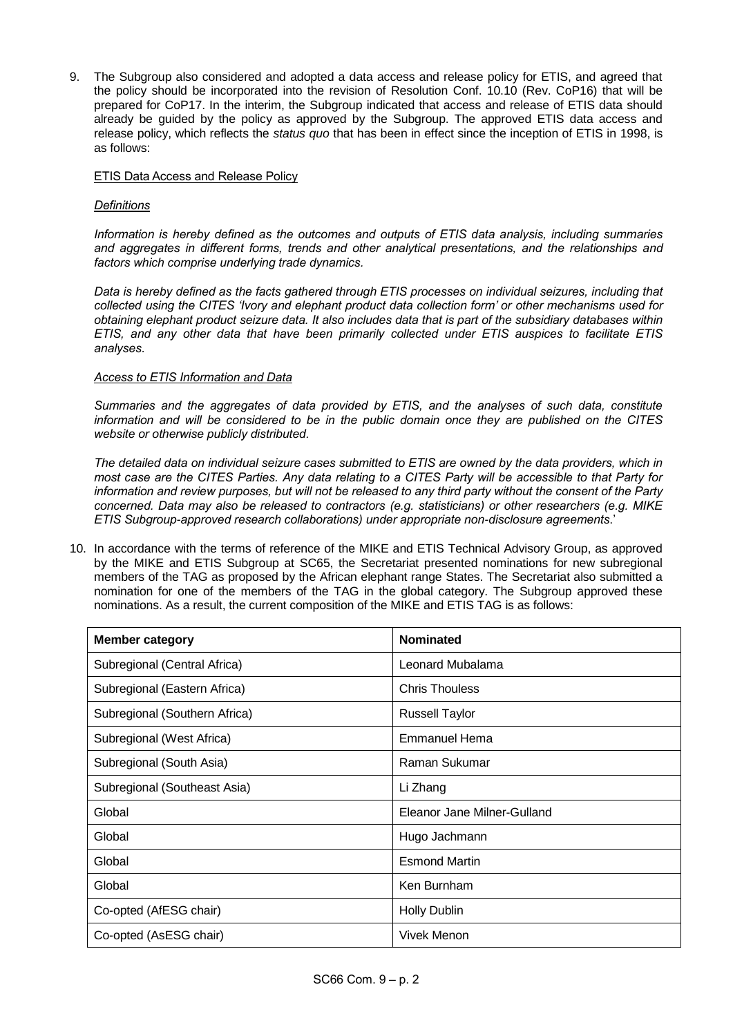9. The Subgroup also considered and adopted a data access and release policy for ETIS, and agreed that the policy should be incorporated into the revision of Resolution Conf. 10.10 (Rev. CoP16) that will be prepared for CoP17. In the interim, the Subgroup indicated that access and release of ETIS data should already be guided by the policy as approved by the Subgroup. The approved ETIS data access and release policy, which reflects the *status quo* that has been in effect since the inception of ETIS in 1998, is as follows:

## ETIS Data Access and Release Policy

### *Definitions*

*Information is hereby defined as the outcomes and outputs of ETIS data analysis, including summaries and aggregates in different forms, trends and other analytical presentations, and the relationships and factors which comprise underlying trade dynamics.*

*Data is hereby defined as the facts gathered through ETIS processes on individual seizures, including that collected using the CITES 'Ivory and elephant product data collection form' or other mechanisms used for obtaining elephant product seizure data. It also includes data that is part of the subsidiary databases within ETIS, and any other data that have been primarily collected under ETIS auspices to facilitate ETIS analyses.* 

### *Access to ETIS Information and Data*

*Summaries and the aggregates of data provided by ETIS, and the analyses of such data, constitute information and will be considered to be in the public domain once they are published on the CITES website or otherwise publicly distributed.*

*The detailed data on individual seizure cases submitted to ETIS are owned by the data providers, which in most case are the CITES Parties. Any data relating to a CITES Party will be accessible to that Party for information and review purposes, but will not be released to any third party without the consent of the Party concerned. Data may also be released to contractors (e.g. statisticians) or other researchers (e.g. MIKE ETIS Subgroup-approved research collaborations) under appropriate non-disclosure agreements*.'

10. In accordance with the terms of reference of the MIKE and ETIS Technical Advisory Group, as approved by the MIKE and ETIS Subgroup at SC65, the Secretariat presented nominations for new subregional members of the TAG as proposed by the African elephant range States. The Secretariat also submitted a nomination for one of the members of the TAG in the global category. The Subgroup approved these nominations. As a result, the current composition of the MIKE and ETIS TAG is as follows:

| <b>Member category</b>        | <b>Nominated</b>            |
|-------------------------------|-----------------------------|
| Subregional (Central Africa)  | Leonard Mubalama            |
| Subregional (Eastern Africa)  | <b>Chris Thouless</b>       |
| Subregional (Southern Africa) | <b>Russell Taylor</b>       |
| Subregional (West Africa)     | Emmanuel Hema               |
| Subregional (South Asia)      | Raman Sukumar               |
| Subregional (Southeast Asia)  | Li Zhang                    |
| Global                        | Eleanor Jane Milner-Gulland |
| Global                        | Hugo Jachmann               |
| Global                        | <b>Esmond Martin</b>        |
| Global                        | Ken Burnham                 |
| Co-opted (AfESG chair)        | <b>Holly Dublin</b>         |
| Co-opted (AsESG chair)        | <b>Vivek Menon</b>          |